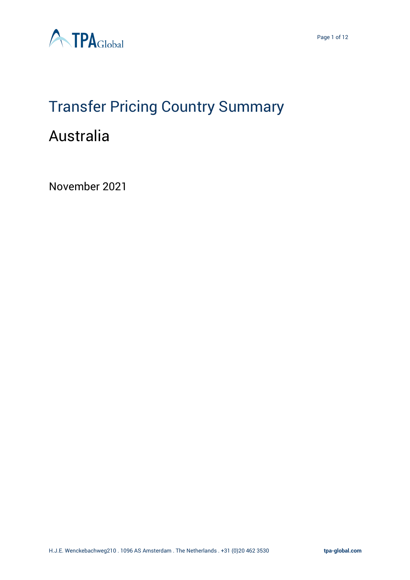

# Transfer Pricing Country Summary

# Australia

November 2021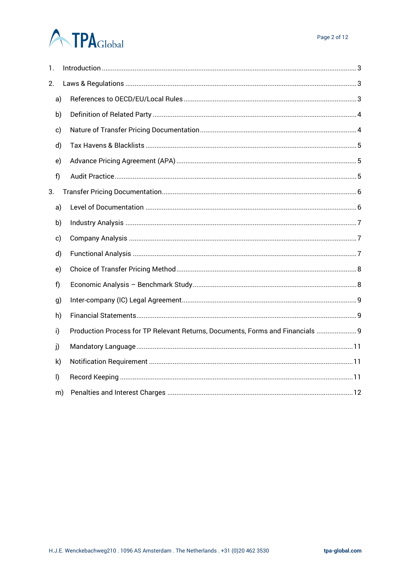| 1.           |    |                                                                                |  |  |  |  |  |
|--------------|----|--------------------------------------------------------------------------------|--|--|--|--|--|
| 2.           |    |                                                                                |  |  |  |  |  |
| a)           |    |                                                                                |  |  |  |  |  |
| b)           |    |                                                                                |  |  |  |  |  |
| c)           |    |                                                                                |  |  |  |  |  |
| d)           |    |                                                                                |  |  |  |  |  |
| e)           |    |                                                                                |  |  |  |  |  |
| f)           |    |                                                                                |  |  |  |  |  |
| 3.           |    |                                                                                |  |  |  |  |  |
| a)           |    |                                                                                |  |  |  |  |  |
| b)           |    |                                                                                |  |  |  |  |  |
| c)           |    |                                                                                |  |  |  |  |  |
| d)           |    |                                                                                |  |  |  |  |  |
| e)           |    |                                                                                |  |  |  |  |  |
| f            |    |                                                                                |  |  |  |  |  |
| g)           |    |                                                                                |  |  |  |  |  |
| h)           |    |                                                                                |  |  |  |  |  |
| i)           |    | Production Process for TP Relevant Returns, Documents, Forms and Financials  9 |  |  |  |  |  |
| j)           |    |                                                                                |  |  |  |  |  |
| k)           |    |                                                                                |  |  |  |  |  |
| $\mathsf{I}$ |    |                                                                                |  |  |  |  |  |
|              | m) |                                                                                |  |  |  |  |  |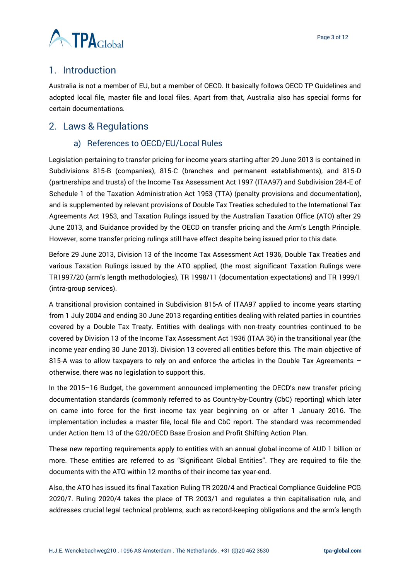

## <span id="page-2-0"></span>1. Introduction

Australia is not a member of EU, but a member of OECD. It basically follows OECD TP Guidelines and adopted local file, master file and local files. Apart from that, Australia also has special forms for certain documentations.

## <span id="page-2-2"></span><span id="page-2-1"></span>2. Laws & Regulations

#### a) References to OECD/EU/Local Rules

Legislation pertaining to transfer pricing for income years starting after 29 June 2013 is contained in Subdivisions 815-B (companies), 815-C (branches and permanent establishments), and 815-D (partnerships and trusts) of the Income Tax Assessment Act 1997 (ITAA97) and Subdivision 284-E of Schedule 1 of the Taxation Administration Act 1953 (TTA) (penalty provisions and documentation), and is supplemented by relevant provisions of Double Tax Treaties scheduled to the International Tax Agreements Act 1953, and Taxation Rulings issued by the Australian Taxation Office (ATO) after 29 June 2013, and Guidance provided by the OECD on transfer pricing and the Arm's Length Principle. However, some transfer pricing rulings still have effect despite being issued prior to this date.

Before 29 June 2013, Division 13 of the Income Tax Assessment Act 1936, Double Tax Treaties and various Taxation Rulings issued by the ATO applied, (the most significant Taxation Rulings were TR1997/20 (arm's length methodologies), TR 1998/11 (documentation expectations) and TR 1999/1 (intra-group services).

A transitional provision contained in Subdivision 815-A of ITAA97 applied to income years starting from 1 July 2004 and ending 30 June 2013 regarding entities dealing with related parties in countries covered by a Double Tax Treaty. Entities with dealings with non-treaty countries continued to be covered by Division 13 of the Income Tax Assessment Act 1936 (ITAA 36) in the transitional year (the income year ending 30 June 2013). Division 13 covered all entities before this. The main objective of 815-A was to allow taxpayers to rely on and enforce the articles in the Double Tax Agreements  $$ otherwise, there was no legislation to support this.

In the 2015–16 Budget, the government announced implementing the OECD's new transfer pricing documentation standards (commonly referred to as Country-by-Country (CbC) reporting) which later on came into force for the first income tax year beginning on or after 1 January 2016. The implementation includes a master file, local file and CbC report. The standard was recommended under Action Item 13 of the G20/OECD Base Erosion and Profit Shifting Action Plan.

These new reporting requirements apply to entities with an annual global income of AUD 1 billion or more. These entities are referred to as "Significant Global Entities". They are required to file the documents with the ATO within 12 months of their income tax year-end.

Also, the ATO has issued its final Taxation Ruling TR 2020/4 and Practical Compliance Guideline PCG 2020/7. Ruling 2020/4 takes the place of TR 2003/1 and regulates a thin capitalisation rule, and addresses crucial legal technical problems, such as record-keeping obligations and the arm's length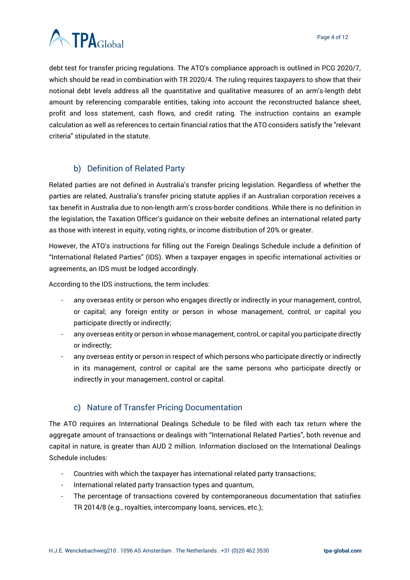

debt test for transfer pricing regulations. The ATO's compliance approach is outlined in PCG 2020/7, which should be read in combination with TR 2020/4. The ruling requires taxpayers to show that their notional debt levels address all the quantitative and qualitative measures of an arm's-length debt amount by referencing comparable entities, taking into account the reconstructed balance sheet, profit and loss statement, cash flows, and credit rating. The instruction contains an example calculation as well as references to certain financial ratios that the ATO considers satisfy the "relevant criteria" stipulated in the statute.

#### b) Definition of Related Party

<span id="page-3-0"></span>Related parties are not defined in Australia's transfer pricing legislation. Regardless of whether the parties are related, Australia's transfer pricing statute applies if an Australian corporation receives a tax benefit in Australia due to non-length arm's cross-border conditions. While there is no definition in the legislation, the Taxation Officer's guidance on their website defines an international related party as those with interest in equity, voting rights, or income distribution of 20% or greater.

However, the ATO's instructions for filling out the Foreign Dealings Schedule include a definition of "International Related Parties" (IDS). When a taxpayer engages in specific international activities or agreements, an IDS must be lodged accordingly.

According to the IDS instructions, the term includes:

- any overseas entity or person who engages directly or indirectly in your management, control, or capital; any foreign entity or person in whose management, control, or capital you participate directly or indirectly;
- any overseas entity or person in whose management, control, or capital you participate directly or indirectly;
- any overseas entity or person in respect of which persons who participate directly or indirectly in its management, control or capital are the same persons who participate directly or indirectly in your management, control or capital.

#### c) Nature of Transfer Pricing Documentation

<span id="page-3-1"></span>The ATO requires an International Dealings Schedule to be filed with each tax return where the aggregate amount of transactions or dealings with "International Related Parties", both revenue and capital in nature, is greater than AUD 2 million. Information disclosed on the International Dealings Schedule includes:

- Countries with which the taxpayer has international related party transactions;
- International related party transaction types and quantum,
- The percentage of transactions covered by contemporaneous documentation that satisfies TR 2014/8 (e.g., royalties, intercompany loans, services, etc.);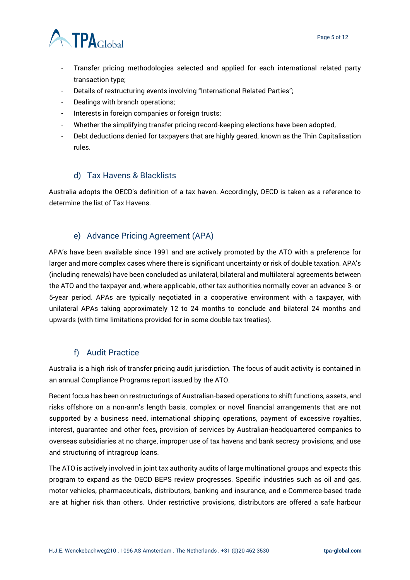

- Transfer pricing methodologies selected and applied for each international related party transaction type;
- Details of restructuring events involving "International Related Parties";
- Dealings with branch operations;
- Interests in foreign companies or foreign trusts;
- Whether the simplifying transfer pricing record-keeping elections have been adopted,
- Debt deductions denied for taxpayers that are highly geared, known as the Thin Capitalisation rules.

#### d) Tax Havens & Blacklists

<span id="page-4-0"></span>Australia adopts the OECD's definition of a tax haven. Accordingly, OECD is taken as a reference to determine the list of Tax Havens.

#### e) Advance Pricing Agreement (APA)

<span id="page-4-1"></span>APA's have been available since 1991 and are actively promoted by the ATO with a preference for larger and more complex cases where there is significant uncertainty or risk of double taxation. APA's (including renewals) have been concluded as unilateral, bilateral and multilateral agreements between the ATO and the taxpayer and, where applicable, other tax authorities normally cover an advance 3- or 5-year period. APAs are typically negotiated in a cooperative environment with a taxpayer, with unilateral APAs taking approximately 12 to 24 months to conclude and bilateral 24 months and upwards (with time limitations provided for in some double tax treaties).

#### f) Audit Practice

<span id="page-4-2"></span>Australia is a high risk of transfer pricing audit jurisdiction. The focus of audit activity is contained in an annual Compliance Programs report issued by the ATO.

Recent focus has been on restructurings of Australian-based operations to shift functions, assets, and risks offshore on a non-arm's length basis, complex or novel financial arrangements that are not supported by a business need, international shipping operations, payment of excessive royalties, interest, guarantee and other fees, provision of services by Australian-headquartered companies to overseas subsidiaries at no charge, improper use of tax havens and bank secrecy provisions, and use and structuring of intragroup loans.

The ATO is actively involved in joint tax authority audits of large multinational groups and expects this program to expand as the OECD BEPS review progresses. Specific industries such as oil and gas, motor vehicles, pharmaceuticals, distributors, banking and insurance, and e-Commerce-based trade are at higher risk than others. Under restrictive provisions, distributors are offered a safe harbour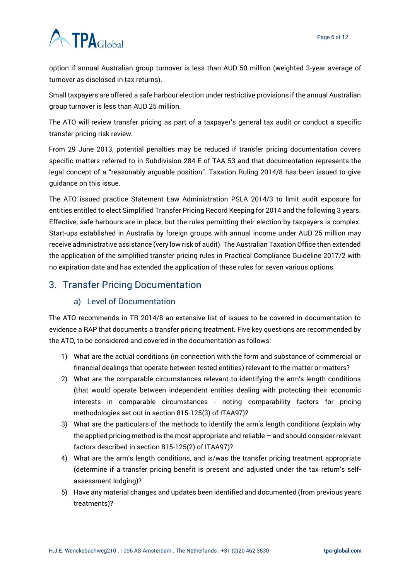option if annual Australian group turnover is less than AUD 50 million (weighted 3-year average of turnover as disclosed in tax returns).

Small taxpayers are offered a safe harbour election under restrictive provisions if the annual Australian group turnover is less than AUD 25 million.

The ATO will review transfer pricing as part of a taxpayer's general tax audit or conduct a specific transfer pricing risk review.

From 29 June 2013, potential penalties may be reduced if transfer pricing documentation covers specific matters referred to in Subdivision 284-E of TAA 53 and that documentation represents the legal concept of a "reasonably arguable position". Taxation Ruling 2014/8 has been issued to give guidance on this issue.

The ATO issued practice Statement Law Administration PSLA 2014/3 to limit audit exposure for entities entitled to elect Simplified Transfer Pricing Record Keeping for 2014 and the following 3 years. Effective, safe harbours are in place, but the rules permitting their election by taxpayers is complex. Start-ups established in Australia by foreign groups with annual income under AUD 25 million may receive administrative assistance (very low risk of audit). The Australian Taxation Office then extended the application of the simplified transfer pricing rules in Practical Compliance Guideline 2017/2 with no expiration date and has extended the application of these rules for seven various options.

# <span id="page-5-1"></span><span id="page-5-0"></span>3. Transfer Pricing Documentation

#### a) Level of Documentation

The ATO recommends in TR 2014/8 an extensive list of issues to be covered in documentation to evidence a RAP that documents a transfer pricing treatment. Five key questions are recommended by the ATO, to be considered and covered in the documentation as follows:

- 1) What are the actual conditions (in connection with the form and substance of commercial or financial dealings that operate between tested entities) relevant to the matter or matters?
- 2) What are the comparable circumstances relevant to identifying the arm's length conditions (that would operate between independent entities dealing with protecting their economic interests in comparable circumstances - noting comparability factors for pricing methodologies set out in section 815-125(3) of ITAA97)?
- 3) What are the particulars of the methods to identify the arm's length conditions (explain why the applied pricing method is the most appropriate and reliable – and should consider relevant factors described in section 815-125(2) of ITAA97)?
- 4) What are the arm's length conditions, and is/was the transfer pricing treatment appropriate (determine if a transfer pricing benefit is present and adjusted under the tax return's selfassessment lodging)?
- 5) Have any material changes and updates been identified and documented (from previous years treatments)?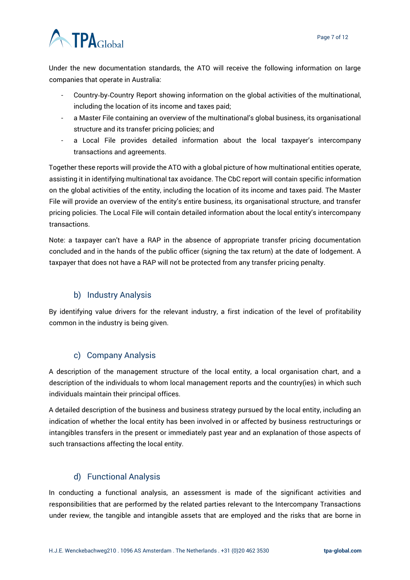

Under the new documentation standards, the ATO will receive the following information on large companies that operate in Australia:

- Country-by-Country Report showing information on the global activities of the multinational, including the location of its income and taxes paid;
- a Master File containing an overview of the multinational's global business, its organisational structure and its transfer pricing policies; and
- a Local File provides detailed information about the local taxpayer's intercompany transactions and agreements.

Together these reports will provide the ATO with a global picture of how multinational entities operate, assisting it in identifying multinational tax avoidance. The CbC report will contain specific information on the global activities of the entity, including the location of its income and taxes paid. The Master File will provide an overview of the entity's entire business, its organisational structure, and transfer pricing policies. The Local File will contain detailed information about the local entity's intercompany transactions.

Note: a taxpayer can't have a RAP in the absence of appropriate transfer pricing documentation concluded and in the hands of the public officer (signing the tax return) at the date of lodgement. A taxpayer that does not have a RAP will not be protected from any transfer pricing penalty.

### b) Industry Analysis

<span id="page-6-0"></span>By identifying value drivers for the relevant industry, a first indication of the level of profitability common in the industry is being given.

#### c) Company Analysis

<span id="page-6-1"></span>A description of the management structure of the local entity, a local organisation chart, and a description of the individuals to whom local management reports and the country(ies) in which such individuals maintain their principal offices.

A detailed description of the business and business strategy pursued by the local entity, including an indication of whether the local entity has been involved in or affected by business restructurings or intangibles transfers in the present or immediately past year and an explanation of those aspects of such transactions affecting the local entity.

### d) Functional Analysis

<span id="page-6-2"></span>In conducting a functional analysis, an assessment is made of the significant activities and responsibilities that are performed by the related parties relevant to the Intercompany Transactions under review, the tangible and intangible assets that are employed and the risks that are borne in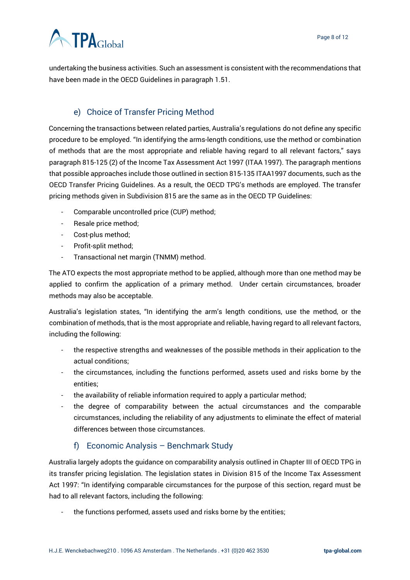undertaking the business activities. Such an assessment is consistent with the recommendations that have been made in the OECD Guidelines in paragraph 1.51.

## e) Choice of Transfer Pricing Method

<span id="page-7-0"></span>Concerning the transactions between related parties, Australia's regulations do not define any specific procedure to be employed. "In identifying the arms-length conditions, use the method or combination of methods that are the most appropriate and reliable having regard to all relevant factors," says paragraph 815-125 (2) of the Income Tax Assessment Act 1997 (ITAA 1997). The paragraph mentions that possible approaches include those outlined in section 815-135 ITAA1997 documents, such as the OECD Transfer Pricing Guidelines. As a result, the OECD TPG's methods are employed. The transfer pricing methods given in Subdivision 815 are the same as in the OECD TP Guidelines:

- Comparable uncontrolled price (CUP) method;
- Resale price method;
- Cost-plus method;
- Profit-split method;
- Transactional net margin (TNMM) method.

The ATO expects the most appropriate method to be applied, although more than one method may be applied to confirm the application of a primary method. Under certain circumstances, broader methods may also be acceptable.

Australia's legislation states, "In identifying the arm's length conditions, use the method, or the combination of methods, that is the most appropriate and reliable, having regard to all relevant factors, including the following:

- the respective strengths and weaknesses of the possible methods in their application to the actual conditions;
- the circumstances, including the functions performed, assets used and risks borne by the entities;
- the availability of reliable information required to apply a particular method;
- the degree of comparability between the actual circumstances and the comparable circumstances, including the reliability of any adjustments to eliminate the effect of material differences between those circumstances.

#### f) Economic Analysis – Benchmark Study

<span id="page-7-1"></span>Australia largely adopts the guidance on comparability analysis outlined in Chapter III of OECD TPG in its transfer pricing legislation. The legislation states in Division 815 of the Income Tax Assessment Act 1997: "In identifying comparable circumstances for the purpose of this section, regard must be had to all relevant factors, including the following:

the functions performed, assets used and risks borne by the entities;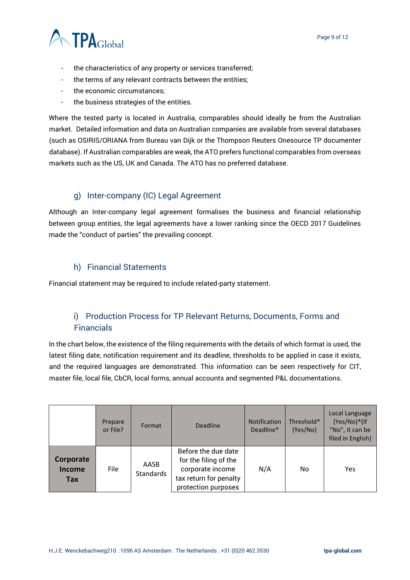

- the characteristics of any property or services transferred;
- the terms of any relevant contracts between the entities;
- the economic circumstances;
- the business strategies of the entities.

Where the tested party is located in Australia, comparables should ideally be from the Australian market. Detailed information and data on Australian companies are available from several databases (such as OSIRIS/ORIANA from Bureau van Dijk or the Thompson Reuters Onesource TP documenter database). If Australian comparables are weak, the ATO prefers functional comparables from overseas markets such as the US, UK and Canada. The ATO has no preferred database.

#### g) Inter-company (IC) Legal Agreement

<span id="page-8-0"></span>Although an Inter-company legal agreement formalises the business and financial relationship between group entities, the legal agreements have a lower ranking since the OECD 2017 Guidelines made the "conduct of parties" the prevailing concept.

#### h) Financial Statements

<span id="page-8-1"></span>Financial statement may be required to include related-party statement.

#### <span id="page-8-2"></span>i) Production Process for TP Relevant Returns, Documents, Forms and Financials

In the chart below, the existence of the filing requirements with the details of which format is used, the latest filing date, notification requirement and its deadline, thresholds to be applied in case it exists, and the required languages are demonstrated. This information can be seen respectively for CIT, master file, local file, CbCR, local forms, annual accounts and segmented P&L documentations.

|                                   | Prepare<br>or File? | Format            | <b>Deadline</b>                                                                                                   | <b>Notification</b><br>Deadline* | Threshold*<br>(Yes/No) | Local Language<br>(Yes/No)*(If<br>"No", it can be<br>filed in English) |
|-----------------------------------|---------------------|-------------------|-------------------------------------------------------------------------------------------------------------------|----------------------------------|------------------------|------------------------------------------------------------------------|
| Corporate<br><b>Income</b><br>Tax | File                | AASB<br>Standards | Before the due date<br>for the filing of the<br>corporate income<br>tax return for penalty<br>protection purposes | N/A                              | No                     | Yes                                                                    |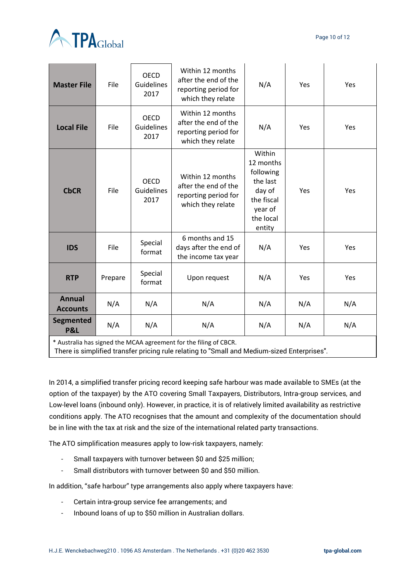Page 10 of 12



| <b>Master File</b>                 | File    | <b>OECD</b><br>Guidelines<br>2017 | Within 12 months<br>after the end of the<br>reporting period for<br>which they relate | N/A                                                                                                    | <b>Yes</b> | <b>Yes</b> |
|------------------------------------|---------|-----------------------------------|---------------------------------------------------------------------------------------|--------------------------------------------------------------------------------------------------------|------------|------------|
| <b>Local File</b>                  | File    | <b>OECD</b><br>Guidelines<br>2017 | Within 12 months<br>after the end of the<br>reporting period for<br>which they relate | N/A                                                                                                    | Yes        | Yes        |
| <b>CbCR</b>                        | File    | <b>OECD</b><br>Guidelines<br>2017 | Within 12 months<br>after the end of the<br>reporting period for<br>which they relate | Within<br>12 months<br>following<br>the last<br>day of<br>the fiscal<br>year of<br>the local<br>entity | Yes        | Yes        |
| <b>IDS</b>                         | File    | Special<br>format                 | 6 months and 15<br>days after the end of<br>the income tax year                       | N/A                                                                                                    | Yes        | Yes        |
| <b>RTP</b>                         | Prepare | Special<br>format                 | Upon request                                                                          | N/A                                                                                                    | Yes        | Yes        |
| <b>Annual</b><br><b>Accounts</b>   | N/A     | N/A                               | N/A                                                                                   | N/A                                                                                                    | N/A        | N/A        |
| <b>Segmented</b><br><b>P&amp;L</b> | N/A     | N/A                               | N/A                                                                                   | N/A                                                                                                    | N/A        | N/A        |

\* Australia has signed the MCAA agreement for the filing of CBCR.

There is simplified transfer pricing rule relating to "Small and Medium-sized Enterprises".

In 2014, a simplified transfer pricing record keeping safe harbour was made available to SMEs (at the option of the taxpayer) by the ATO covering Small Taxpayers, Distributors, Intra-group services, and Low-level loans (inbound only). However, in practice, it is of relatively limited availability as restrictive conditions apply. The ATO recognises that the amount and complexity of the documentation should be in line with the tax at risk and the size of the international related party transactions.

The ATO simplification measures apply to low-risk taxpayers, namely:

- Small taxpayers with turnover between \$0 and \$25 million;
- Small distributors with turnover between \$0 and \$50 million.

In addition, "safe harbour" type arrangements also apply where taxpayers have:

- Certain intra-group service fee arrangements; and
- Inbound loans of up to \$50 million in Australian dollars.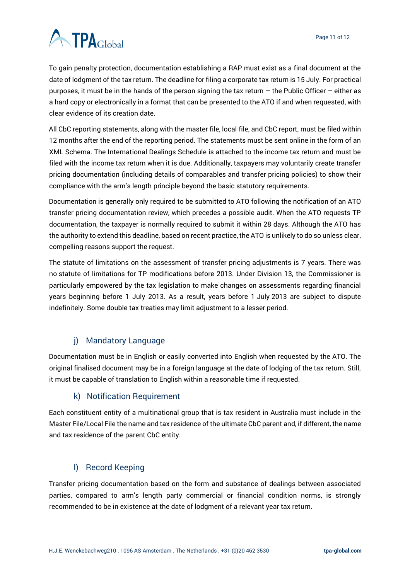To gain penalty protection, documentation establishing a RAP must exist as a final document at the date of lodgment of the tax return. The deadline for filing a corporate tax return is 15 July. For practical purposes, it must be in the hands of the person signing the tax return – the Public Officer – either as a hard copy or electronically in a format that can be presented to the ATO if and when requested, with clear evidence of its creation date.

All CbC reporting statements, along with the master file, local file, and CbC report, must be filed within 12 months after the end of the reporting period. The statements must be sent online in the form of an XML Schema. The International Dealings Schedule is attached to the income tax return and must be filed with the income tax return when it is due. Additionally, taxpayers may voluntarily create transfer pricing documentation (including details of comparables and transfer pricing policies) to show their compliance with the arm's length principle beyond the basic statutory requirements.

Documentation is generally only required to be submitted to ATO following the notification of an ATO transfer pricing documentation review, which precedes a possible audit. When the ATO requests TP documentation, the taxpayer is normally required to submit it within 28 days. Although the ATO has the authority to extend this deadline, based on recent practice, the ATO is unlikely to do so unless clear, compelling reasons support the request.

The statute of limitations on the assessment of transfer pricing adjustments is 7 years. There was no statute of limitations for TP modifications before 2013. Under Division 13, the Commissioner is particularly empowered by the tax legislation to make changes on assessments regarding financial years beginning before 1 July 2013. As a result, years before 1 July 2013 are subject to dispute indefinitely. Some double tax treaties may limit adjustment to a lesser period.

### j) Mandatory Language

<span id="page-10-0"></span>Documentation must be in English or easily converted into English when requested by the ATO. The original finalised document may be in a foreign language at the date of lodging of the tax return. Still, it must be capable of translation to English within a reasonable time if requested.

#### k) Notification Requirement

<span id="page-10-1"></span>Each constituent entity of a multinational group that is tax resident in Australia must include in the Master File/Local File the name and tax residence of the ultimate CbC parent and, if different, the name and tax residence of the parent CbC entity.

#### l) Record Keeping

<span id="page-10-2"></span>Transfer pricing documentation based on the form and substance of dealings between associated parties, compared to arm's length party commercial or financial condition norms, is strongly recommended to be in existence at the date of lodgment of a relevant year tax return.